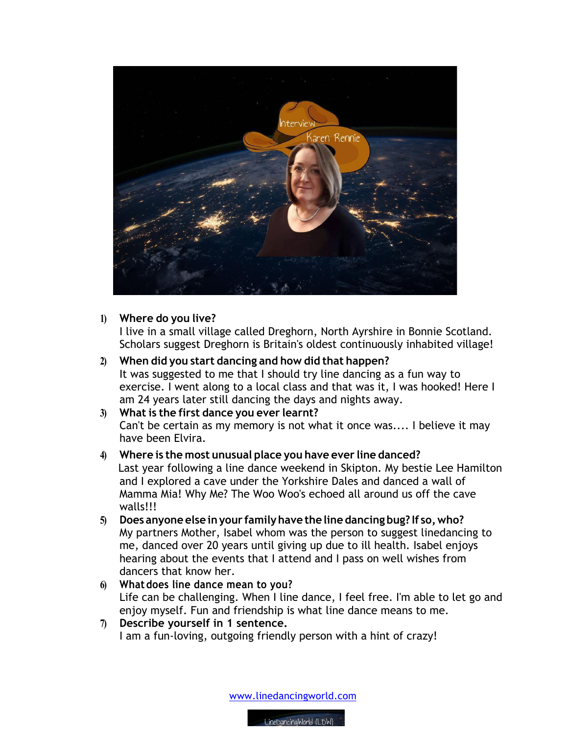

## **1) Where do you live?**

I live in a small village called Dreghorn, North Ayrshire in Bonnie Scotland. Scholars suggest Dreghorn is Britain's oldest continuously inhabited village!

**2) When did you start dancing and how did that happen?** It was suggested to me that I should try line dancing as a fun way to exercise. I went along to a local class and that was it, I was hooked! Here I am 24 years later still dancing the days and nights away.

## **3) What is the first dance you ever learnt?** Can't be certain as my memory is not what it once was.... I believe it may have been Elvira.

- **4) Where is the most unusual place you have ever line danced?** Last year following a line dance weekend in Skipton. My bestie Lee Hamilton and I explored a cave under the Yorkshire Dales and danced a wall of Mamma Mia! Why Me? The Woo Woo's echoed all around us off the cave walls!!!
- **5) Does anyone else inyour familyhave the line dancing bug? If so,who?** My partners Mother, Isabel whom was the person to suggest linedancing to me, danced over 20 years until giving up due to ill health. Isabel enjoys hearing about the events that I attend and I pass on well wishes from dancers that know her.
- **6) Whatdoes line dance mean to you?** Life can be challenging. When I line dance, I feel free. I'm able to let go and enjoy myself. Fun and friendship is what line dance means to me.
- **7) Describe yourself in 1 sentence.**  I am a fun-loving, outgoing friendly person with a hint of crazy!

www.linedancingworld.com

LineDancingWorld (LDW)